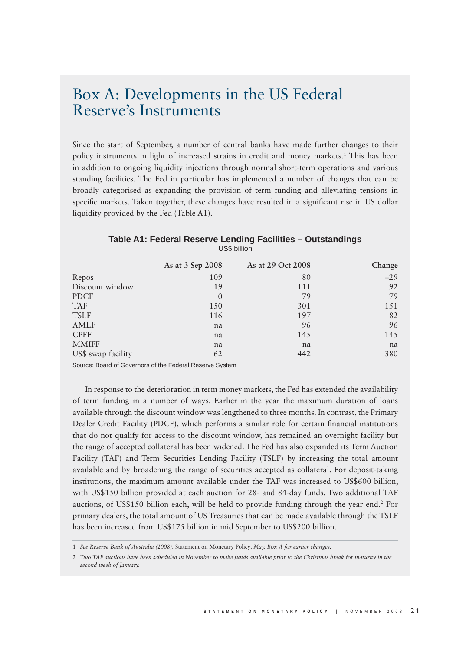## Box A: Developments in the US Federal Reserve's Instruments

Since the start of September, a number of central banks have made further changes to their policy instruments in light of increased strains in credit and money markets.<sup>1</sup> This has been in addition to ongoing liquidity injections through normal short-term operations and various standing facilities. The Fed in particular has implemented a number of changes that can be broadly categorised as expanding the provision of term funding and alleviating tensions in specific markets. Taken together, these changes have resulted in a significant rise in US dollar liquidity provided by the Fed (Table A1).

|                    | As at 3 Sep 2008 | As at 29 Oct 2008 | Change |
|--------------------|------------------|-------------------|--------|
| Repos              | 109              | 80                | $-29$  |
| Discount window    | 19               | 111               | 92     |
| <b>PDCF</b>        | $\Omega$         | 79                | 79     |
| <b>TAF</b>         | 150              | 301               | 151    |
| <b>TSLF</b>        | 116              | 197               | 82     |
| <b>AMLF</b>        | na               | 96                | 96     |
| <b>CPFF</b>        | na               | 145               | 145    |
| <b>MMIFF</b>       | na               | na                | na     |
| US\$ swap facility | 62               | 442               | 380    |

## **Table A1: Federal Reserve Lending Facilities – Outstandings** US\$ billion

Source: Board of Governors of the Federal Reserve System

In response to the deterioration in term money markets, the Fed has extended the availability of term funding in a number of ways. Earlier in the year the maximum duration of loans available through the discount window was lengthened to three months. In contrast, the Primary Dealer Credit Facility (PDCF), which performs a similar role for certain financial institutions that do not qualify for access to the discount window, has remained an overnight facility but the range of accepted collateral has been widened. The Fed has also expanded its Term Auction Facility (TAF) and Term Securities Lending Facility (TSLF) by increasing the total amount available and by broadening the range of securities accepted as collateral. For deposit-taking institutions, the maximum amount available under the TAF was increased to US\$600 billion, with US\$150 billion provided at each auction for 28- and 84-day funds. Two additional TAF auctions, of US\$150 billion each, will be held to provide funding through the year end.<sup>2</sup> For primary dealers, the total amount of US Treasuries that can be made available through the TSLF has been increased from US\$175 billion in mid September to US\$200 billion.

<sup>1</sup> *See Reserve Bank of Australia (2008),* Statement on Monetary Policy*, May, Box A for earlier changes.*

<sup>2</sup> *Two TAF auctions have been scheduled in November to make funds available prior to the Christmas break for maturity in the second week of January.*